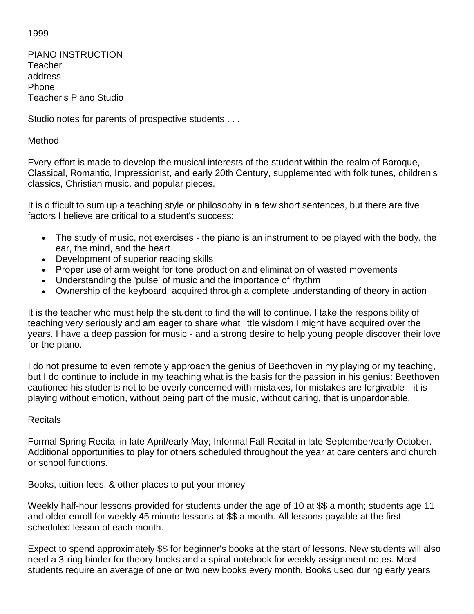# 1999

PIANO INSTRUCTION **Teacher** address Phone Teacher's Piano Studio

Studio notes for parents of prospective students . . .

# Method

Every effort is made to develop the musical interests of the student within the realm of Baroque, Classical, Romantic, Impressionist, and early 20th Century, supplemented with folk tunes, children's classics, Christian music, and popular pieces.

It is difficult to sum up a teaching style or philosophy in a few short sentences, but there are five factors I believe are critical to a student's success:

- The study of music, not exercises the piano is an instrument to be played with the body, the ear, the mind, and the heart
- Development of superior reading skills
- Proper use of arm weight for tone production and elimination of wasted movements
- Understanding the 'pulse' of music and the importance of rhythm
- Ownership of the keyboard, acquired through a complete understanding of theory in action

It is the teacher who must help the student to find the will to continue. I take the responsibility of teaching very seriously and am eager to share what little wisdom I might have acquired over the years. I have a deep passion for music - and a strong desire to help young people discover their love for the piano.

I do not presume to even remotely approach the genius of Beethoven in my playing or my teaching, but I do continue to include in my teaching what is the basis for the passion in his genius: Beethoven cautioned his students not to be overly concerned with mistakes, for mistakes are forgivable - it is playing without emotion, without being part of the music, without caring, that is unpardonable.

## Recitals

Formal Spring Recital in late April/early May; Informal Fall Recital in late September/early October. Additional opportunities to play for others scheduled throughout the year at care centers and church or school functions.

Books, tuition fees, & other places to put your money

Weekly half-hour lessons provided for students under the age of 10 at \$\$ a month; students age 11 and older enroll for weekly 45 minute lessons at \$\$ a month. All lessons payable at the first scheduled lesson of each month.

Expect to spend approximately \$\$ for beginner's books at the start of lessons. New students will also need a 3-ring binder for theory books and a spiral notebook for weekly assignment notes. Most students require an average of one or two new books every month. Books used during early years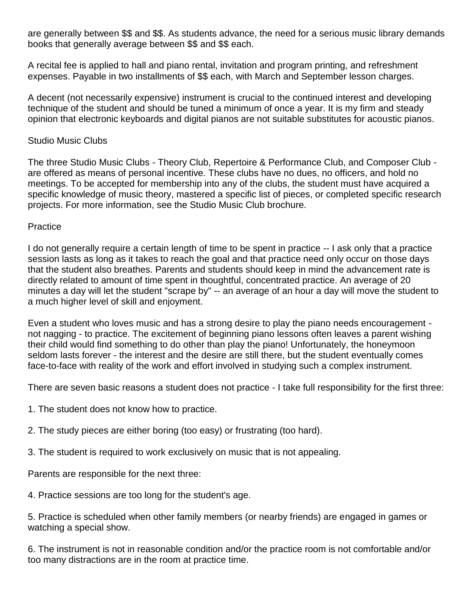are generally between \$\$ and \$\$. As students advance, the need for a serious music library demands books that generally average between \$\$ and \$\$ each.

A recital fee is applied to hall and piano rental, invitation and program printing, and refreshment expenses. Payable in two installments of \$\$ each, with March and September lesson charges.

A decent (not necessarily expensive) instrument is crucial to the continued interest and developing technique of the student and should be tuned a minimum of once a year. It is my firm and steady opinion that electronic keyboards and digital pianos are not suitable substitutes for acoustic pianos.

## Studio Music Clubs

The three Studio Music Clubs - Theory Club, Repertoire & Performance Club, and Composer Club are offered as means of personal incentive. These clubs have no dues, no officers, and hold no meetings. To be accepted for membership into any of the clubs, the student must have acquired a specific knowledge of music theory, mastered a specific list of pieces, or completed specific research projects. For more information, see the Studio Music Club brochure.

### **Practice**

I do not generally require a certain length of time to be spent in practice -- I ask only that a practice session lasts as long as it takes to reach the goal and that practice need only occur on those days that the student also breathes. Parents and students should keep in mind the advancement rate is directly related to amount of time spent in thoughtful, concentrated practice. An average of 20 minutes a day will let the student "scrape by" -- an average of an hour a day will move the student to a much higher level of skill and enjoyment.

Even a student who loves music and has a strong desire to play the piano needs encouragement not nagging - to practice. The excitement of beginning piano lessons often leaves a parent wishing their child would find something to do other than play the piano! Unfortunately, the honeymoon seldom lasts forever - the interest and the desire are still there, but the student eventually comes face-to-face with reality of the work and effort involved in studying such a complex instrument.

There are seven basic reasons a student does not practice - I take full responsibility for the first three:

- 1. The student does not know how to practice.
- 2. The study pieces are either boring (too easy) or frustrating (too hard).
- 3. The student is required to work exclusively on music that is not appealing.

Parents are responsible for the next three:

4. Practice sessions are too long for the student's age.

5. Practice is scheduled when other family members (or nearby friends) are engaged in games or watching a special show.

6. The instrument is not in reasonable condition and/or the practice room is not comfortable and/or too many distractions are in the room at practice time.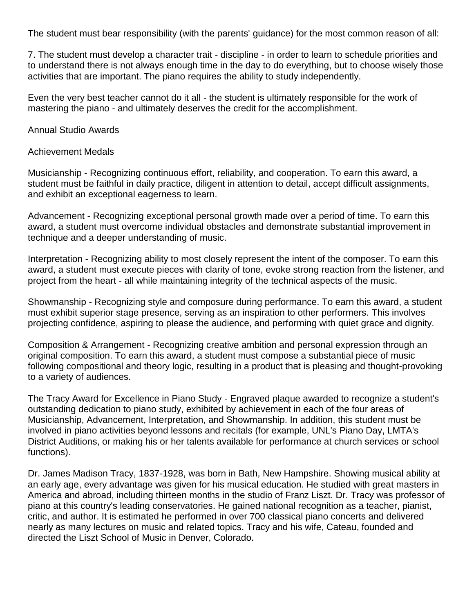The student must bear responsibility (with the parents' guidance) for the most common reason of all:

7. The student must develop a character trait - discipline - in order to learn to schedule priorities and to understand there is not always enough time in the day to do everything, but to choose wisely those activities that are important. The piano requires the ability to study independently.

Even the very best teacher cannot do it all - the student is ultimately responsible for the work of mastering the piano - and ultimately deserves the credit for the accomplishment.

Annual Studio Awards

### Achievement Medals

Musicianship - Recognizing continuous effort, reliability, and cooperation. To earn this award, a student must be faithful in daily practice, diligent in attention to detail, accept difficult assignments, and exhibit an exceptional eagerness to learn.

Advancement - Recognizing exceptional personal growth made over a period of time. To earn this award, a student must overcome individual obstacles and demonstrate substantial improvement in technique and a deeper understanding of music.

Interpretation - Recognizing ability to most closely represent the intent of the composer. To earn this award, a student must execute pieces with clarity of tone, evoke strong reaction from the listener, and project from the heart - all while maintaining integrity of the technical aspects of the music.

Showmanship - Recognizing style and composure during performance. To earn this award, a student must exhibit superior stage presence, serving as an inspiration to other performers. This involves projecting confidence, aspiring to please the audience, and performing with quiet grace and dignity.

Composition & Arrangement - Recognizing creative ambition and personal expression through an original composition. To earn this award, a student must compose a substantial piece of music following compositional and theory logic, resulting in a product that is pleasing and thought-provoking to a variety of audiences.

The Tracy Award for Excellence in Piano Study - Engraved plaque awarded to recognize a student's outstanding dedication to piano study, exhibited by achievement in each of the four areas of Musicianship, Advancement, Interpretation, and Showmanship. In addition, this student must be involved in piano activities beyond lessons and recitals (for example, UNL's Piano Day, LMTA's District Auditions, or making his or her talents available for performance at church services or school functions).

Dr. James Madison Tracy, 1837-1928, was born in Bath, New Hampshire. Showing musical ability at an early age, every advantage was given for his musical education. He studied with great masters in America and abroad, including thirteen months in the studio of Franz Liszt. Dr. Tracy was professor of piano at this country's leading conservatories. He gained national recognition as a teacher, pianist, critic, and author. It is estimated he performed in over 700 classical piano concerts and delivered nearly as many lectures on music and related topics. Tracy and his wife, Cateau, founded and directed the Liszt School of Music in Denver, Colorado.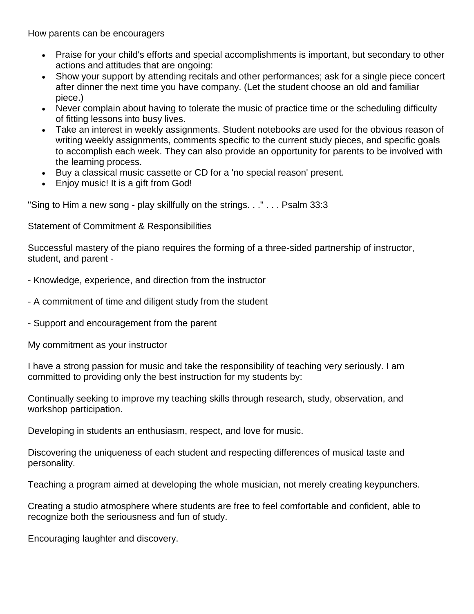How parents can be encouragers

- Praise for your child's efforts and special accomplishments is important, but secondary to other actions and attitudes that are ongoing:
- Show your support by attending recitals and other performances; ask for a single piece concert after dinner the next time you have company. (Let the student choose an old and familiar piece.)
- Never complain about having to tolerate the music of practice time or the scheduling difficulty of fitting lessons into busy lives.
- Take an interest in weekly assignments. Student notebooks are used for the obvious reason of writing weekly assignments, comments specific to the current study pieces, and specific goals to accomplish each week. They can also provide an opportunity for parents to be involved with the learning process.
- Buy a classical music cassette or CD for a 'no special reason' present.
- Enjoy music! It is a gift from God!

"Sing to Him a new song - play skillfully on the strings. . ." . . . Psalm 33:3

Statement of Commitment & Responsibilities

Successful mastery of the piano requires the forming of a three-sided partnership of instructor, student, and parent -

- Knowledge, experience, and direction from the instructor

- A commitment of time and diligent study from the student
- Support and encouragement from the parent

My commitment as your instructor

I have a strong passion for music and take the responsibility of teaching very seriously. I am committed to providing only the best instruction for my students by:

Continually seeking to improve my teaching skills through research, study, observation, and workshop participation.

Developing in students an enthusiasm, respect, and love for music.

Discovering the uniqueness of each student and respecting differences of musical taste and personality.

Teaching a program aimed at developing the whole musician, not merely creating keypunchers.

Creating a studio atmosphere where students are free to feel comfortable and confident, able to recognize both the seriousness and fun of study.

Encouraging laughter and discovery.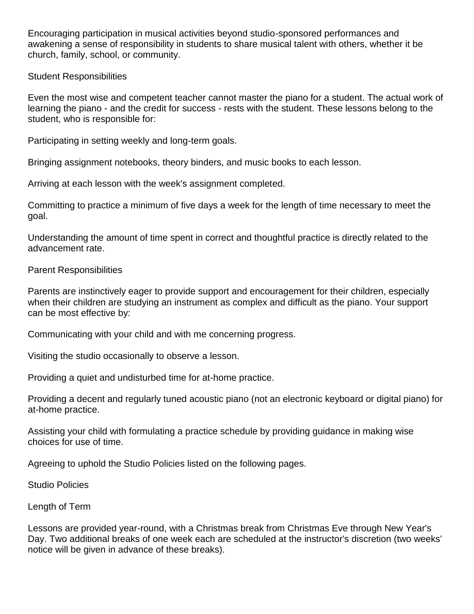Encouraging participation in musical activities beyond studio-sponsored performances and awakening a sense of responsibility in students to share musical talent with others, whether it be church, family, school, or community.

Student Responsibilities

Even the most wise and competent teacher cannot master the piano for a student. The actual work of learning the piano - and the credit for success - rests with the student. These lessons belong to the student, who is responsible for:

Participating in setting weekly and long-term goals.

Bringing assignment notebooks, theory binders, and music books to each lesson.

Arriving at each lesson with the week's assignment completed.

Committing to practice a minimum of five days a week for the length of time necessary to meet the goal.

Understanding the amount of time spent in correct and thoughtful practice is directly related to the advancement rate.

Parent Responsibilities

Parents are instinctively eager to provide support and encouragement for their children, especially when their children are studying an instrument as complex and difficult as the piano. Your support can be most effective by:

Communicating with your child and with me concerning progress.

Visiting the studio occasionally to observe a lesson.

Providing a quiet and undisturbed time for at-home practice.

Providing a decent and regularly tuned acoustic piano (not an electronic keyboard or digital piano) for at-home practice.

Assisting your child with formulating a practice schedule by providing guidance in making wise choices for use of time.

Agreeing to uphold the Studio Policies listed on the following pages.

Studio Policies

Length of Term

Lessons are provided year-round, with a Christmas break from Christmas Eve through New Year's Day. Two additional breaks of one week each are scheduled at the instructor's discretion (two weeks' notice will be given in advance of these breaks).